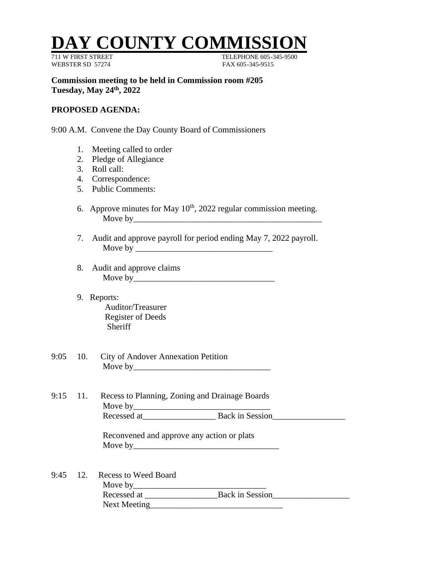## **Y COUNTY COMMISS**

WEBSTER SD 57274 FAX 605-345-9515

711 W FIRST STREET TELEPHONE 605-345-9500

**Commission meeting to be held in Commission room #205 Tuesday, May 24th , 2022**

## **PROPOSED AGENDA:**

9:00 A.M. Convene the Day County Board of Commissioners

- 1. Meeting called to order
- 2. Pledge of Allegiance
- 3. Roll call:
- 4. Correspondence:
- 5. Public Comments:
- 6. Approve minutes for May  $10<sup>th</sup>$ , 2022 regular commission meeting. Move by\_\_\_\_\_\_\_\_\_\_\_\_\_\_\_\_\_\_\_\_\_\_\_\_\_\_\_\_\_\_\_\_\_\_\_\_\_\_\_\_\_\_\_\_
- 7. Audit and approve payroll for period ending May 7, 2022 payroll. Move by
- 8. Audit and approve claims Move by\_\_\_\_\_\_\_\_\_\_\_\_\_\_\_\_\_\_\_\_\_\_\_\_\_\_\_\_\_\_\_\_\_
- 9. Reports: Auditor/Treasurer Register of Deeds **Sheriff**
- 9:05 10. City of Andover Annexation Petition Move by\_\_\_\_\_\_\_\_\_\_\_\_\_\_\_\_\_\_\_\_\_\_\_\_\_\_\_\_\_\_\_\_
- 9:15 11. Recess to Planning, Zoning and Drainage Boards Move by\_\_\_\_\_\_\_\_\_\_\_\_\_\_\_\_\_\_\_\_\_\_\_\_\_\_\_\_\_\_\_\_ Recessed at\_\_\_\_\_\_\_\_\_\_\_\_\_\_\_\_\_ Back in Session\_\_\_\_\_\_\_\_\_\_\_\_\_\_\_\_\_

Reconvened and approve any action or plats Move by\_\_\_\_\_\_\_\_\_\_\_\_\_\_\_\_\_\_\_\_\_\_\_\_\_\_\_\_\_\_\_\_\_\_

9:45 12. Recess to Weed Board Move by\_\_\_\_\_\_\_\_\_\_\_\_\_\_\_\_\_\_\_\_\_\_\_\_\_\_\_\_\_\_\_ Recessed at \_\_\_\_\_\_\_\_\_\_\_\_\_\_\_\_\_Back in Session\_\_\_\_\_\_\_\_\_\_\_\_\_\_\_\_\_\_ Next Meeting